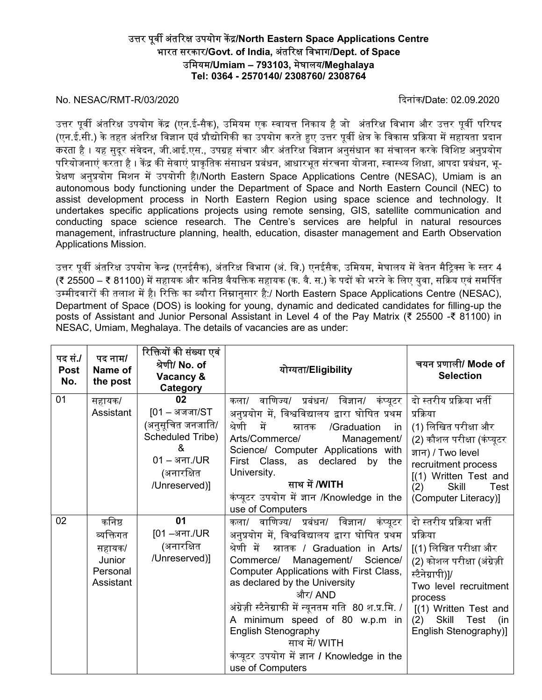## उत्तर पूर्वी अंतरिक्ष उपयोग केंद्र/North Eastern Space Applications Centre भारत सरकार/Govt. of India, अंतरिक्ष विभाग/Dept. of Space उमियम/Umiam – 793103, मेघालय/Meghalaya Tel: 0364 - 2570140/ 2308760/ 2308764

## No. NESAC/RMT-R/03/2020 ᳰदनांक/Date: 02.09.2020

उत्तर पूर्वी अंतरिक्ष उपयोग केंद्र (एन.ई-सैक), उमियम एक स्वायत्त निकाय है जो अंतरिक्ष विभाग और उत्तर पूर्वी परिषद (एन.ई.सी.) के तहत अंतरिक्ष विज्ञान एवं प्रौद्योगिकी का उपयोग करते हुए उत्तर पूर्वी क्षेत्र के विकास प्रक्रिया में सहायता प्रदान .<br>करता है । यह सुदूर संवेदन, जी.आई.एस., उपग्रह संचार और अंतरिक्ष विज्ञान अनुसंधान का संचालन करके विशिष्ट अनुप्रयोग परियोजनाएं करता है । केंद्र की सेवाएं प्राकृतिक संसाधन प्रबंधन, आधारभूत संरचना योजना, स्वास्थ्य शिक्षा, आपदा प्रबंधन, भू-प्रेक्षण अनुप्रयोग मिशन में उपयोगी है।/North Eastern Space Applications Centre (NESAC), Umiam is an autonomous body functioning under the Department of Space and North Eastern Council (NEC) to assist development process in North Eastern Region using space science and technology. It undertakes specific applications projects using remote sensing, GIS, satellite communication and conducting space science research. The Centre's services are helpful in natural resources management, infrastructure planning, health, education, disaster management and Earth Observation Applications Mission.

उत्तर पूर्वी अंतरिक्ष उपयोग केन्द्र (एनईसैक), अंतरिक्ष विभाग (अं. वि.) एनईसैक, उमियम, मेघालय में वेतन मैटिक्स के स्तर 4 (₹ 25500 – ₹ 81100) में सहायक और कनिष्ठ वैयक्तिक सहायक (क. वै. स.) के पदों को भरने के लिए युवा, सक्रिय एवं समर्पित उम्मीदवारों की तलाश में है। रिक्ति का ब्यौरा निम्नानुसार है:/ North Eastern Space Applications Centre (NESAC), Department of Space (DOS) is looking for young, dynamic and dedicated candidates for filling-up the posts of Assistant and Junior Personal Assistant in Level 4 of the Pay Matrix (₹ 25500 -₹ 81100) in NESAC, Umiam, Meghalaya. The details of vacancies are as under:

| पद सं./<br><b>Post</b><br>No. | पद नाम/<br>Name of<br>the post                                   | रिक्तियों की संख्या एवं<br>श्रेणी/ No. of<br>Vacancy &<br><b>Category</b>                                                  | योग्यता/Eligibility                                                                                                                                                                                                                                                                                                                                                                                                                                                                   | चयन प्रणाली/ Mode of<br><b>Selection</b>                                                                                                                                                                                      |
|-------------------------------|------------------------------------------------------------------|----------------------------------------------------------------------------------------------------------------------------|---------------------------------------------------------------------------------------------------------------------------------------------------------------------------------------------------------------------------------------------------------------------------------------------------------------------------------------------------------------------------------------------------------------------------------------------------------------------------------------|-------------------------------------------------------------------------------------------------------------------------------------------------------------------------------------------------------------------------------|
| 01                            | सहायक/<br>Assistant                                              | 02<br>$[01 - 3]$ जजा/ $ST$<br>(अनुसूचित जनजाति/<br>Scheduled Tribe)<br>&<br>$01 - 37.7$ /UR<br>(अनारक्षित<br>/Unreserved)] | वाणिज्य/ प्रबंधन/ विज्ञान/ कंप्यूटर<br>कला/<br>अनुप्रयोग में, विश्वविद्यालय द्वारा घोषित प्रथम<br>श्रेणी<br>में<br>/Graduation<br>स्नातक<br>in.<br>Arts/Commerce/<br>Management/<br>Science/ Computer Applications with<br>First Class, as declared by the<br>University.<br>साथ में /WITH<br>कंप्यूटर उपयोग में ज्ञान /Knowledge in the<br>use of Computers                                                                                                                          | दो स्तरीय प्रक्रिया भर्ती<br>प्रक्रिया<br>(1) लिखित परीक्षा और<br>(2) कौशल परीक्षा (कंप्यूटर<br>ज्ञान) / Two level<br>recruitment process<br>[(1) Written Test and<br><b>Skill</b><br>(2)<br>Test<br>(Computer Literacy)]     |
| 02                            | कनिष्ठ<br>व्यक्तिगत<br>सहायक/<br>Junior<br>Personal<br>Assistant | 01<br>[01 –अना./UR<br>(अनारक्षित<br>/Unreserved)]                                                                          | वाणिज्य/ प्रबंधन/ विज्ञान/ कंप्यूटर<br>कला/<br>अनुप्रयोग में, विश्वविद्यालय द्वारा घोषित प्रथम<br>श्रेणी में<br>स्नातक / Graduation in Arts/<br>Commerce/ Management/<br>Science/<br>Computer Applications with First Class,<br>as declared by the University<br>और/ AND<br>अंग्रेज़ी स्टैनेग्राफी में न्यूनतम गति 80 श.प्र.मि. /<br>A minimum speed of 80 w.p.m in<br><b>English Stenography</b><br>साथ में/ WITH<br>कंप्यूटर उपयोग में ज्ञान / Knowledge in the<br>use of Computers | दो स्तरीय प्रक्रिया भर्ती<br>प्रक्रिया<br>[(1) लिखित परीक्षा और<br>(2) कोशल परीक्षा (अंग्रेज़ी<br>स्टैनेग्रापी)]/<br>Two level recruitment<br>process<br>[(1) Written Test and<br>(2) Skill Test (in<br>English Stenography)] |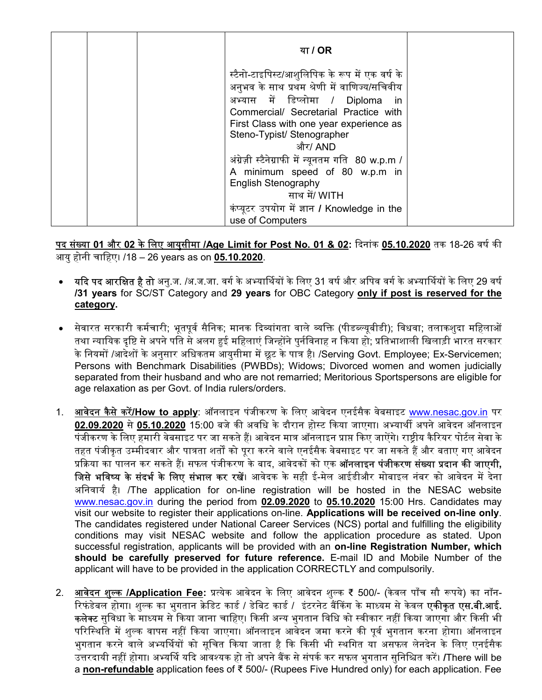|  | या / OR                                                                                                                                                                                                                                                              |  |
|--|----------------------------------------------------------------------------------------------------------------------------------------------------------------------------------------------------------------------------------------------------------------------|--|
|  | स्टैनो-टाइपिस्ट/आशुलिपिक के रूप में एक वर्ष के<br>अनुभव के साथ प्रथम श्रेणी में वाणिज्य/सचिवीय<br>अभ्यास में डिप्लोमा / Diploma<br>- in<br>Commercial/ Secretarial Practice with<br>First Class with one year experience as<br>Steno-Typist/ Stenographer<br>और/ AND |  |
|  | अंग्रेज़ी स्टैनेग्राफी में न्यूनतम गति 80 w.p.m /<br>A minimum speed of 80 w.p.m in<br><b>English Stenography</b><br>साथ में/ WITH<br>कंप्यूटर उपयोग में ज्ञान / Knowledge in the<br>use of Computers                                                                |  |

<u>पद संख्या 01 और 02 के लिए आयुसीमा /Age Limit for Post No. 01 & 02</u>: दिनांक <u>05.10.2020</u> तक 18-26 वर्ष की आयुहोनी चािहए। /18 – 26 years as on 05.10.2020.

- **यदि पद आरक्षित है तो** अनु.ज. /अ.ज.जा. वर्ग के अभ्यार्थियों के लिए 31 वर्ष और अपिव वर्ग के अभ्यार्थियों के लिए 29 वर्ष /31 years for SC/ST Category and 29 years for OBC Category only if post is reserved for the category.
- ∙ सेवारत सरकारी कर्मचारी; भूतपूर्व सैनिक; मानक दिव्यांगता वाले व्यक्ति (पीडब्ल्यूबीडी); विधवा; तलाकशुदा महिलाओं तथा न्यायिक दृष्टि से अपने पति से अलग हुई महिलाएं जिन्होंने पुर्नविनाह न किया हो; प्रतिभाशाली खिलाड़ी भारत सरकार के नियमों /आदेशों के अनुसार अधिकतम आयुसीमा में छूट के पात्र है। /Serving Govt. Employee; Ex-Servicemen; Persons with Benchmark Disabilities (PWBDs); Widows; Divorced women and women judicially separated from their husband and who are not remarried; Meritorious Sportspersons are eligible for age relaxation as per Govt. of India rulers/orders.
- 1. **आवेदन कैसे करें/How to apply**: ऑनलाइन पंजीकरण के लिए आवेदन एनईसैक वेबसाइट www.nesac.gov.in पर 02.09.2020 से05.10.2020 15:00 बजेकᳱ अविध केदौरान हो᭭ट ᳰकया जाएगा। अ᭤याथᱮ अपनेआवेदन ऑनलाइन पंजीकरण के लिए हमारी वेबसाइट पर जा सकते हैं। आवेदन मात्र ऑनलाइन प्राप्त किए जाऐंगे। राष्ट्रीय कैरियर पोर्टल सेवा के तहत पंजीकृत उम्मीदवार और पात्रता शर्तों को पूरा करने वाले एनईसैक वेबसाइट पर जा सकते हैं और बताए गए आवेदन प्रक्रिया का पालन कर सकते हैं। सफल पंजीकरण के बाद, आवेदकों को एक **ऑनलाइन पंजीकरण संख्या प्रदान की जाएगी,** जिसे भविष्य के संदर्भ के लिए संभाल कर रखें। आवेदक के सही ई-मेल आईडीऔर मोबाइल नंबर को आवेदन में देना अनिवार्य है। /The application for on-line registration will be hosted in the NESAC website www.nesac.gov.in during the period from 02.09.2020 to 05.10.2020 15:00 Hrs. Candidates may visit our website to register their applications on-line. Applications will be received on-line only. The candidates registered under National Career Services (NCS) portal and fulfilling the eligibility conditions may visit NESAC website and follow the application procedure as stated. Upon successful registration, applicants will be provided with an on-line Registration Number, which should be carefully preserved for future reference. E-mail ID and Mobile Number of the applicant will have to be provided in the application CORRECTLY and compulsorily.
- 2. आवेदन शुल्क /Application Fee: प्रत्येक आवेदन के लिए आवेदन शुल्क ₹ 500/- (केवल पाँच सौ रूपये) का नॉन-रिफंडेबल होगा। शुल्क का भुगतान क्रेडिट कार्ड / डेबिट कार्ड / इंटरनेट बैंकिंग के माध्यम से केवल **एकीकृत एस.बी.आई. कलेक्ट** सुविधा के माध्यम से किया जाना चाहिए। किसी अन्य भुगतान विधि को स्वीकार नहीं किया जाएगा और किसी भी परिस्थिति में शुल्क वापस नहीं किया जाएगा। ऑनलाइन आवेदन जमा करने की पूर्व भुगतान करना होगा। ऑनलाइन भुगतान करने वाले अभ्यर्थियों को सूचित किया जाता है कि किसी भी स्थगित या असफल लेनदेन के लिए एनईसैक उत्तरदायी नहीं होगा। अभ्यर्थि यदि आवश्यक हो तो अपने बैंक से संपर्क कर सफल भुगतान सुनिश्चित करें। /There will be a non-refundable application fees of ₹ 500/- (Rupees Five Hundred only) for each application. Fee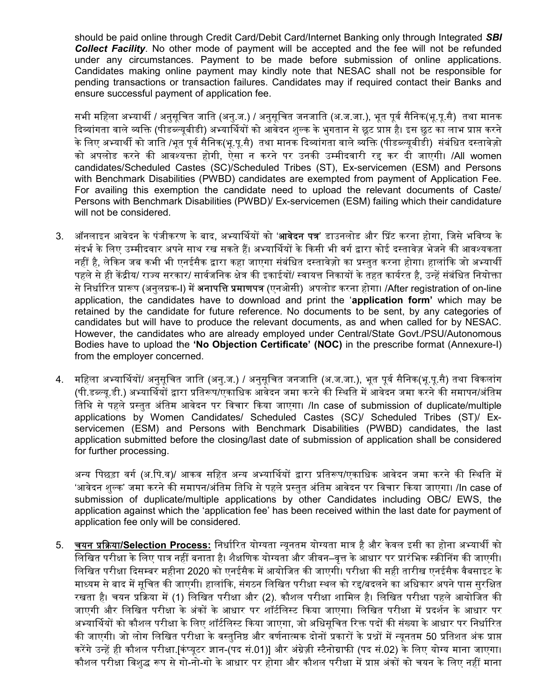should be paid online through Credit Card/Debit Card/Internet Banking only through Integrated SBI **Collect Facility**. No other mode of payment will be accepted and the fee will not be refunded under any circumstances. Payment to be made before submission of online applications. Candidates making online payment may kindly note that NESAC shall not be responsible for pending transactions or transaction failures. Candidates may if required contact their Banks and ensure successful payment of application fee.

सभी महिला अभ्यार्थी / अनुसूचित जाति (अनु.ज.) / अनुसूचित जनजाति (अ.ज.जा.), भूत पूर्व सैनिक(भू.पू.सै) तथा मानक दिव्यांगता वाले व्यक्ति (पीडब्ल्यूबीडी) अभ्यार्थियों को आवेदन शुल्क के भुगतान से छूट प्राप्त है। इस छुट का लाभ प्राप्त करने के लिए अभ्यार्थी को जाति /भूत पूर्व सैनिक(भू.पू.सै) तथा मानक दिव्यांगता वाले व्यक्ति (पीडब्ल्यूबीडी) संबंधित दस्तावेज़ो को अपलोड करने की आवश्यक्ता होगी, ऐसा न करने पर उनकी उम्मीदवारी रह कर दी जाएगी। /All women candidates/Scheduled Castes (SC)/Scheduled Tribes (ST), Ex-servicemen (ESM) and Persons with Benchmark Disabilities (PWBD) candidates are exempted from payment of Application Fee. For availing this exemption the candidate need to upload the relevant documents of Caste/ Persons with Benchmark Disabilities (PWBD)/ Ex-servicemen (ESM) failing which their candidature will not be considered.

- 3. ऑनलाइन आवेदन के पंजीकरण के बाद, अभ्यार्थियों को '**आवेदन पत्र**' डाउनलोड और प्रिंट करना होगा, जिसे भविष्य के संदर्भ के लिए उम्मीदवार अपने साथ रख सकते हैं। अभ्यार्थियों के किसी भी वर्ग द्वारा कोई दस्तावेज़ भेजने की आवश्यकता नहीं है, लेकिन जब कभी भी एनईसैक द्वारा कहा जाएगा संबंधित दस्तावेज़ो का प्रस्तुत करना होगा। हालांकि जो अभ्यार्थी पहले से ही केंद्रीय/ राज्य सरकार/ सार्वजनिक क्षेत्र की इकाईयों/ स्वायत्त निकायों के तहत कार्यरत है. उन्हें संबंधित नियोक्ता से निर्धारित प्रारूप (अनुलग्नक-I) में **अनापत्ति प्रमाणपत्र** (एनओसी) अपलोड करना होगा। /After registration of on-line application, the candidates have to download and print the 'application form' which may be retained by the candidate for future reference. No documents to be sent, by any categories of candidates but will have to produce the relevant documents, as and when called for by NESAC. However, the candidates who are already employed under Central/State Govt./PSU/Autonomous Bodies have to upload the 'No Objection Certificate' (NOC) in the prescribe format (Annexure-I) from the employer concerned.
- 4. महिला अभ्यार्थियों/ अनुसूचित जाति (अनु.ज.) / अनुसूचित जनजाति (अ.ज.जा.), भूत पूर्व सैनिक(भू.पू.सै) तथा विकलांग (पी.डब्ल्य.डी.) अभ्यार्थियों द्वारा प्रतिरूप/एकाधिक आवेदन जमा करने की स्थिति में आवेदन जमा करने की समापन/अंतिम ितिथ सेपहलेᮧ᭭ततु अंितम आवेदन पर िवचार ᳰकया जाएगा। /In case of submission of duplicate/multiple applications by Women Candidates/ Scheduled Castes (SC)/ Scheduled Tribes (ST)/ Exservicemen (ESM) and Persons with Benchmark Disabilities (PWBD) candidates, the last application submitted before the closing/last date of submission of application shall be considered for further processing.

अन्य पिछड़ा वर्ग (अ.पि.व)/ आकव सहित अन्य अभ्यार्थियों द्वारा प्रतिरूप/एकाधिक आवेदन जमा करने की स्थिति में 'आवेदन शुल्क' जमा करने की समापन/अंतिम तिथि से पहले प्रस्तुत अंतिम आवेदन पर विचार किया जाएगा। /In case of submission of duplicate/multiple applications by other Candidates including OBC/ EWS, the application against which the 'application fee' has been received within the last date for payment of application fee only will be considered.

5. व्यन प्रक्रिया/Selection Process: निर्धारित योग्यता न्यूनतम योग्यता मात्र है और केवल इसी का होना अभ्यार्थी को िलिखत परीᭃा केिलए पाᮢ नहᱭ बनाता ह।ै शैᭃिणक योयता और जीवन–वृᱫ केआधार पर ᮧारंिभक ᭭ᮓᳱᳲनग कᳱ जाएगी। लिखित परीक्षा दिसम्बर महीना 2020 को एनईसैक में आयोजित की जाएगी। परीक्षा की सही तारीख एनईसैक वैबसाइट के माध्यम से बाद में सचित की जाएगी। हालांकि, संगठन लिखित परीक्षा स्थल को रह/बदलने का अधिकार अपने पास सुरक्षित । रखता है। चयन प्रक्रिया में (1) लिखित परीक्षा और (2). कौशल परीक्षा शामिल है। लिखित परीक्षा पहले आयोजित की जाएगी और लिखित परीक्षा के अंकों के आधार पर शॉर्टलिस्ट किया जाएगा। लिखित परीक्षा में प्रदर्शन के आधार पर अभ्यार्थियों को कौशल परीक्षा के लिए शॉर्टलिस्ट किया जाएगा, जो अधिसूचित रिक्त पदों की संख्या के आधार पर निर्धारित की जाएगी। जो लोग लिखित परीक्षा के वस्तुनिष्ठ और वर्णनात्मक दोनों प्रकारों के प्रश्नों में न्यनतम 50 प्रतिशत अंक प्राप्त करेंगे उन्हें ही कौशल परीक्षा.[कंप्युटर ज्ञान-(पद सं.01)] और अंग्रेज़ी स्टैनोग्राफी (पद सं.02) के लिए योग्य माना जाएगा। कौशल परीक्षा विशुद्ध रूप से गो-नो-गो के आधार पर होगा और कौशल परीक्षा में प्राप्त अंकों को चयन के लिए नहीं माना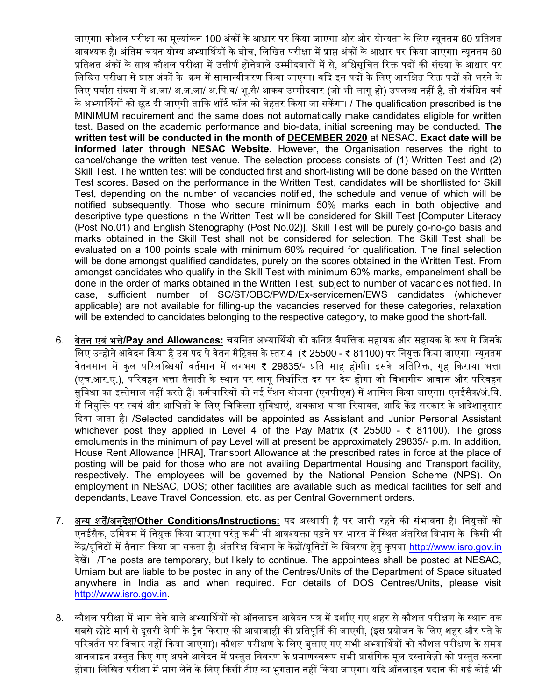जाएगा। कौशल परीक्षा का मूल्यांकन 100 अंकों के आधार पर किया जाएगा और और योग्यता के लिए न्यूनतम 60 प्रतिशत आवश्यक है। अंतिम चयन योग्य अभ्यार्थियों के बीच, लिखित परीक्षा में प्राप्त अंकों के आधार पर किया जाएगा। न्यूनतम 60 प्रतिशत अंकों के साथ कौशल परीक्षा में उत्तीर्ण होनेवाले उम्मीदवारों में से. अधिसचित रिक्त पदों की संख्या के आधार पर लिखित परीक्षा में प्राप्त अंकों के क्रम में सामान्यीकरण किया जाएगा। यदि इन पदों के लिए आरक्षित रिक्त पदों को भरने के लिए पर्याप्त संख्या में अ.जा/ अ.ज.जा/ अ.पि.व/ भू.सै/ आकव उम्मीदवार (जो भी लागू हो) उपलब्ध नहीं है, तो संबंधित वर्ग के अभ्यार्थियों को छूट दी जाएगी ताकि शॉर्ट फॉल को बेहतर किया जा सकेगा। / The qualification prescribed is the MINIMUM requirement and the same does not automatically make candidates eligible for written test. Based on the academic performance and bio-data, initial screening may be conducted. The written test will be conducted in the month of **DECEMBER 2020** at NESAC. Exact date will be informed later through NESAC Website. However, the Organisation reserves the right to cancel/change the written test venue. The selection process consists of (1) Written Test and (2) Skill Test. The written test will be conducted first and short-listing will be done based on the Written Test scores. Based on the performance in the Written Test, candidates will be shortlisted for Skill Test, depending on the number of vacancies notified, the schedule and venue of which will be notified subsequently. Those who secure minimum 50% marks each in both objective and descriptive type questions in the Written Test will be considered for Skill Test [Computer Literacy (Post No.01) and English Stenography (Post No.02)]. Skill Test will be purely go-no-go basis and marks obtained in the Skill Test shall not be considered for selection. The Skill Test shall be evaluated on a 100 points scale with minimum 60% required for qualification. The final selection will be done amongst qualified candidates, purely on the scores obtained in the Written Test. From amongst candidates who qualify in the Skill Test with minimum 60% marks, empanelment shall be done in the order of marks obtained in the Written Test, subject to number of vacancies notified. In case, sufficient number of SC/ST/OBC/PWD/Ex-servicemen/EWS candidates (whichever applicable) are not available for filling-up the vacancies reserved for these categories, relaxation will be extended to candidates belonging to the respective category, to make good the short-fall.

- 6. वेतन एवं भत्ते/Pay and Allowances: चयनित अभ्यार्थियों को कनिष्ठ वैयक्तिक सहायक और सहायक के रूप में जिसके िलए उ᭠होनेआवदेन ᳰकया हैउस पद पेवते न मैᳯᮝस के ᭭तर 4 (₹ 25500 - ₹ 81100) पर िनयुᲦ ᳰकया जाएगा। ᭠यूनतम वेतनमान में कुल परिलब्धियाँ वर्तमान में लगभग ₹ 29835/- प्रति माह होंगी। इसके अतिरिक्त, गृह किराया भत्ता (एच.आर.ए.), परिवहन भत्ता तैनाती के स्थान पर लागू निर्धारित दर पर देय होगा जो विभागीय आवास और परिवहन ्<br>सुविधा का इस्तेमाल नहीं करते हैं। कर्मचारियों को नई पेंशन योजना (एनपीएस) में शामिल किया जाएगा। एनईसैक/अं.वि. .<br>में नियुक्ति पर स्वयं और आश्रितों के लिए चिकित्सा सुविधाएं, अवकाश यात्रा रियायत, आदि केंद्र सरकार के आदेशानुसार ᳰदया जाता ह।ै /Selected candidates will be appointed as Assistant and Junior Personal Assistant whichever post they applied in Level 4 of the Pay Matrix (₹ 25500 - ₹ 81100). The gross emoluments in the minimum of pay Level will at present be approximately 29835/- p.m. In addition, House Rent Allowance [HRA], Transport Allowance at the prescribed rates in force at the place of posting will be paid for those who are not availing Departmental Housing and Transport facility, respectively. The employees will be governed by the National Pension Scheme (NPS). On employment in NESAC, DOS; other facilities are available such as medical facilities for self and dependants, Leave Travel Concession, etc. as per Central Government orders.
- 7. अन्य शर्तें/अनुदेश/Other Conditions/Instructions: पद अस्थायी है पर जारी रहने की संभावना है। नियुक्तों को एनईसैक, उिमयम मᱶिनयुᲦ ᳰकया जाएगा परंतुकभी भी आव᭫यᲦा पड़नेपर भारत मᱶि᭭थत अतं ᳯरᭃ िवभाग के ᳰकसी भी केंद्र/यूनिटों में तैनात किया जा सकता है। अंतरिक्ष विभाग के केंद्रों/यूनिटों के विवरण हेतु कृपया http://www.isro.gov.in देखें। /The posts are temporary, but likely to continue. The appointees shall be posted at NESAC, Umiam but are liable to be posted in any of the Centres/Units of the Department of Space situated anywhere in India as and when required. For details of DOS Centres/Units, please visit http://www.isro.gov.in.
- 8. कौशल परीक्षा में भाग लेने वाले अभ्यार्थियों को ऑनलाइन आवेदन पत्र में दर्शाए गए शहर से कौशल परीक्षण के स्थान तक सबसे छोटे मार्ग से दुसरी श्रेणी के टैन किराए की आवाजाही की प्रतिपूर्ति की जाएगी, (इस प्रयोजन के लिए शहर और पते के परिवर्तन पर विचार नहीं किया जाएगा)। कौशल परीक्षण के लिए बुलाए गए सभी अभ्यार्थियों को कौशल परीक्षण के समय आनलाइन प्रस्तुत किए गए अपने आवेदन में प्रस्तुत विवरण के प्रमाणस्वरूप सभी प्रासंगिक मूल दस्तावेज़ो को प्रस्तुत करना होगा। लिखित परीक्षा में भाग लेने के लिए किसी टीए का भुगतान नहीं किया जाएगा। यदि ऑनलाइन प्रदान की गई कोई भी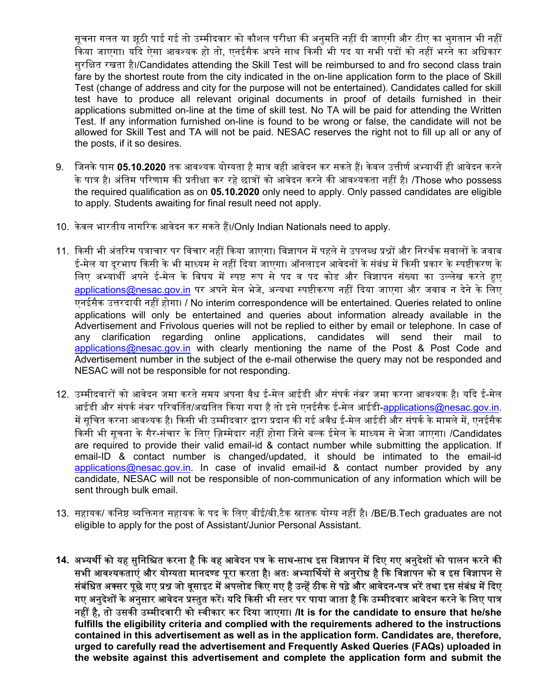सूचना गलत या झूठी पाई गई तो उम्मीदवार को कौशल परीक्षा की अनुमति नहीं दी जाएगी और टीए का भुगतान भी नहीं ्किया जाएगा। यदि ऐसा आवश्यक हो तो, एनईसैक अपने साथ किसी भी पद या सभी पदों को नहीं भरने का अधिकार सुरक्षित रखता है।/Candidates attending the Skill Test will be reimbursed to and fro second class train fare by the shortest route from the city indicated in the on-line application form to the place of Skill Test (change of address and city for the purpose will not be entertained). Candidates called for skill test have to produce all relevant original documents in proof of details furnished in their applications submitted on-line at the time of skill test. No TA will be paid for attending the Written Test. If any information furnished on-line is found to be wrong or false, the candidate will not be allowed for Skill Test and TA will not be paid. NESAC reserves the right not to fill up all or any of the posts, if it so desires.

- 9. जिनके पास 05.10.2020 तक आवश्यक योग्यता है मात्र वही आवेदन कर सकते हैं। केवल उत्तीर्ण अभ्यार्थी ही आवेदन करने के पात्र है। अंतिम परिणाम की प्रतीक्षा कर रहे छात्रों को आवेदन करने की आवश्यकता नहीं है। /Those who possess the required qualification as on 05.10.2020 only need to apply. Only passed candidates are eligible to apply. Students awaiting for final result need not apply.
- 10. केवल भारतीय नागरिक आवेदन कर सकते हैं।/Only Indian Nationals need to apply.
- 11. किसी भी अंतरिम पत्राचार पर विचार नहीं किया जाएगा। विज्ञापन में पहले से उपलब्ध प्रश्नों और निरर्थक सवालों के जवाब ई-मेल या दूरभाष किसी के भी माध्यम से नहीं दिया जाएगा। ऑनलाइन आवेदनों के संबंध में किसी प्रकार के स्पष्टीकरण के लिए अभ्यार्थी अपने ई-मेल के विषय में स्पष्ट रूप से पद व पद कोड और विज्ञापन संख्या का उल्लेख करते हुए applications@nesac.gov.in पर अपने मेल भेजे, अन्यथा स्पष्टीकरण नहीं दिया जाएगा और जवाब न देने के लिए एनईसैक उᱫरदायी नहᱭ होगा। / No interim correspondence will be entertained. Queries related to online applications will only be entertained and queries about information already available in the Advertisement and Frivolous queries will not be replied to either by email or telephone. In case of any clarification regarding online applications, candidates will send their mail to applications@nesac.gov.in with clearly mentioning the name of the Post & Post Code and Advertisement number in the subject of the e-mail otherwise the query may not be responded and NESAC will not be responsible for not responding.
- 12. उम्मीदवारों को आवेदन जमा करते समय अपना वैध ई-मेल आईडी और संपर्क नंबर जमा करना आवश्यक है। यदि ई-मेल आईडी और संपर्क नंबर परिवर्तित/अद्यतित किया गया है तो इसे एनईसैक ई-मेल आईडी-applications@nesac.gov.in. में सचित करना आवश्यक है। किसी भी उम्मीदवार द्वारा प्रदान की गई अवैध ई-मेल आईडी और संपर्क के मामले में, एनईसैक किसी भी सूचना के गैर-संचार के लिए ज़िम्मेदार नहीं होगा जिसे बल्क ईमेल के माध्यम से भेजा जाएगा। /Candidates are required to provide their valid email-id & contact number while submitting the application. If email-ID & contact number is changed/updated, it should be intimated to the email-id applications@nesac.gov.in. In case of invalid email-id & contact number provided by any candidate, NESAC will not be responsible of non-communication of any information which will be sent through bulk email.
- 13. सहायक/ कनिष्ठ व्यक्तिगत सहायक के पद के लिए बीई/बी.टैक स्नातक योग्य नहीं है। /BE/B.Tech graduates are not eligible to apply for the post of Assistant/Junior Personal Assistant.
- 14. अभ्यर्थी को यह सुनिश्चित करना है कि वह आवेदन पत्र के साथ-साथ इस विज्ञापन में दिए गए अनुदेशों को पालन करने की सभी आवश्यकताएं और योग्यता मानदण्ड पूरा करता है। अतः अभ्यार्थियों से अनुरोध है कि विज्ञापन को व इस विज्ञापन से संबंधित अक्सर पूछे गए प्रश्न जो वूसाइट में अपलोड किए गए है उन्हें ठीक से पढ़े और आवेदन-पत्र भरें तथा इस संबंध में दिए गए अनुदेशों के अनुसार आवेदन प्रस्तुत करें। यदि किसी भी स्तर पर पाया जाता है कि उम्मीदवार आवेदन करने के लिए पात्र नहीं है, तो उसकी उम्मीदवारी को स्वीकार कर दिया जाएगा। /It is for the candidate to ensure that he/she fulfills the eligibility criteria and complied with the requirements adhered to the instructions contained in this advertisement as well as in the application form. Candidates are, therefore, urged to carefully read the advertisement and Frequently Asked Queries (FAQs) uploaded in the website against this advertisement and complete the application form and submit the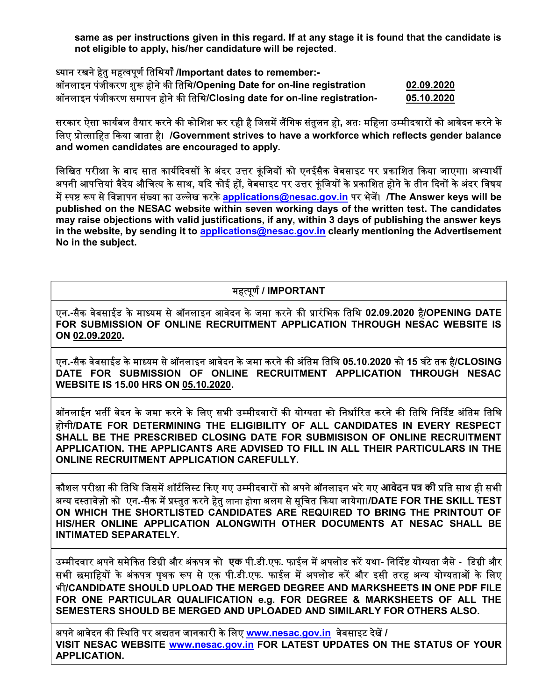same as per instructions given in this regard. If at any stage it is found that the candidate is not eligible to apply, his/her candidature will be rejected.

| ध्यान रखने हेतु महत्वपूर्ण तिथियाँ /Important dates to remember:-        |            |
|--------------------------------------------------------------------------|------------|
| ऑनलाइन पंजीकरण शुरू होने की तिथि/Opening Date for on-line registration   | 02.09.2020 |
| ऑनलाइन पंजीकरण समापन होने की तिथि/Closing date for on-line registration- | 05.10.2020 |

सरकार ऐसा कार्यबल तैयार करने की कोशिश कर रही है जिसमें लैंगिक संतुलन हो, अतः महिला उम्मीदवारों को आवेदन करने के लिए प्रोत्साहित किया जाता है। /Government strives to have a workforce which reflects gender balance and women candidates are encouraged to apply.

लिखित परीक्षा के बाद सात कार्यदिवसों के अंदर उत्तर कूंजियों को एनईसैक वेबसाइट पर प्रकाशित किया जाएगा। अभ्यार्थी अपनी आपत्तियां वैदेय औचित्य के साथ, यदि कोई हों, वेबसाइट पर उत्तर कूंजियों के प्रकाशित होने के तीन दिनों के अंदर विषय में स्पष्ट रूप से विज्ञापन संख्या का उल्लेख करके applications@nesac.gov.in पर भेजें। /The Answer keys will be published on the NESAC website within seven working days of the written test. The candidates may raise objections with valid justifications, if any, within 3 days of publishing the answer keys in the website, by sending it to applications@nesac.gov.in clearly mentioning the Advertisement No in the subject.

## महत्पूर्ण / IMPORTANT

एन.-सैक वेबसाईड के माध्यम से ऑनलाइन आवेदन के जमा करने की प्रारंभिक तिथि 02.09.2020 है/OPENING DATE FOR SUBMISSION OF ONLINE RECRUITMENT APPLICATION THROUGH NESAC WEBSITE IS ON 02.09.2020.

एन.-सैक वेबसाईड के माध्यम से ऑनलाइन आवेदन के जमा करने की अंतिम तिथि 05.10.2020 को 15 घंटे तक है/CLOSING DATE FOR SUBMISSION OF ONLINE RECRUITMENT APPLICATION THROUGH NESAC WEBSITE IS 15.00 HRS ON 05.10.2020.

ऑनलाईन भर्ती वेदन के जमा करने के लिए सभी उम्मीदवारों की योग्यता को निर्धारित करने की तिथि निर्दिष्ट अंतिम तिथि होगी/DATE FOR DETERMINING THE ELIGIBILITY OF ALL CANDIDATES IN EVERY RESPECT SHALL BE THE PRESCRIBED CLOSING DATE FOR SUBMISISON OF ONLINE RECRUITMENT APPLICATION. THE APPLICANTS ARE ADVISED TO FILL IN ALL THEIR PARTICULARS IN THE ONLINE RECRUITMENT APPLICATION CAREFULLY.

कौशल परीक्षा की तिथि जिसमें शॉर्टलिस्ट किए गए उम्मीदवारों को अपने ऑनलाइन भरे गए आवेदन पत्र की प्रति साथ ही सभी अन्य दस्तावेज़ो को एन.-सैक में प्रस्तुत करने हेतु लाना होगा अलग से सूचित किया जायेगा।/DATE FOR THE SKILL TEST ON WHICH THE SHORTLISTED CANDIDATES ARE REQUIRED TO BRING THE PRINTOUT OF HIS/HER ONLINE APPLICATION ALONGWITH OTHER DOCUMENTS AT NESAC SHALL BE INTIMATED SEPARATELY.

उम्मीदवार अपने समेकित डिग्री और अंकपत्र को एक पी.डी.एफ. फाईल में अपलोड करें यथा- निर्दिष्ट योग्यता जैसे - डिग्री और सभी छमाहियों के अंकपत्र पृथक रूप से एक पी.डी.एफ. फाईल में अपलोड करें और इसी तरह अन्य योग्यताओं के लिए भी/CANDIDATE SHOULD UPLOAD THE MERGED DEGREE AND MARKSHEETS IN ONE PDF FILE FOR ONE PARTICULAR QUALIFICATION e.g. FOR DEGREE & MARKSHEETS OF ALL THE SEMESTERS SHOULD BE MERGED AND UPLOADED AND SIMILARLY FOR OTHERS ALSO.

अपने आवेदन की स्थिति पर अद्यतन जानकारी के लिए www.nesac.gov.in वेबसाइट देखें / VISIT NESAC WEBSITE www.nesac.gov.in FOR LATEST UPDATES ON THE STATUS OF YOUR APPLICATION.